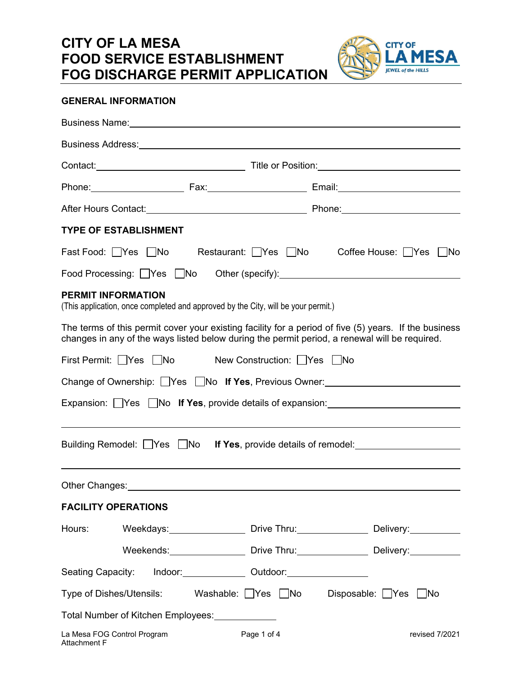## **CITY OF LA MESA FOOD SERVICE ESTABLISHMENT FOG DISCHARGE PERMIT APPLICATION**



## **GENERAL INFORMATION**

| Business Address: <u>contract and the contract of the set of the contract of the set of the contract of the set of</u>                                                                                                         |                      |  |
|--------------------------------------------------------------------------------------------------------------------------------------------------------------------------------------------------------------------------------|----------------------|--|
|                                                                                                                                                                                                                                |                      |  |
|                                                                                                                                                                                                                                |                      |  |
|                                                                                                                                                                                                                                |                      |  |
| <b>TYPE OF ESTABLISHMENT</b>                                                                                                                                                                                                   |                      |  |
| Fast Food: Ves No Restaurant: Yes No                                                                                                                                                                                           | Coffee House: Yes No |  |
|                                                                                                                                                                                                                                |                      |  |
| <b>PERMIT INFORMATION</b><br>(This application, once completed and approved by the City, will be your permit.)                                                                                                                 |                      |  |
| The terms of this permit cover your existing facility for a period of five (5) years. If the business<br>changes in any of the ways listed below during the permit period, a renewal will be required.                         |                      |  |
| First Permit: Yes No New Construction: Yes No                                                                                                                                                                                  |                      |  |
| Change of Ownership: Yes No If Yes, Previous Owner: Change of Ownership: Ves No If Yes, Previous Owner:                                                                                                                        |                      |  |
| Expansion: □Yes □No If Yes, provide details of expansion: ______________________                                                                                                                                               |                      |  |
| ,我们也不会有什么。""我们的人,我们也不会有什么?""我们的人,我们也不会有什么?""我们的人,我们也不会有什么?""我们的人,我们也不会有什么?""我们的人                                                                                                                                               |                      |  |
| Building Remodel: Yes No If Yes, provide details of remodel: Vessellen Museum Museum Museum Museum Museum Muse                                                                                                                 |                      |  |
|                                                                                                                                                                                                                                |                      |  |
| Other Changes: Notice of the Changes of the Changes of the Changes of the Changes of the Changes of the Changes of the Changes of the Changes of the Changes of the Changes of the Changes of the Changes of the Changes of th |                      |  |
| <b>FACILITY OPERATIONS</b>                                                                                                                                                                                                     |                      |  |
| Hours: Weekdays: Drive Thru: Delivery:                                                                                                                                                                                         |                      |  |
| Weekends: Drive Thru: Delivery: Delivery:                                                                                                                                                                                      |                      |  |
| Seating Capacity: Indoor: Capacity: Couldoor: Capacity: Couldoor:                                                                                                                                                              |                      |  |
| Type of Dishes/Utensils: Washable: Ves No Disposable: Yes No                                                                                                                                                                   |                      |  |
| Total Number of Kitchen Employees: The Mumber of Kitchen Employees:                                                                                                                                                            |                      |  |
| La Mesa FOG Control Program<br>Page 1 of 4<br>Attachment F                                                                                                                                                                     | revised 7/2021       |  |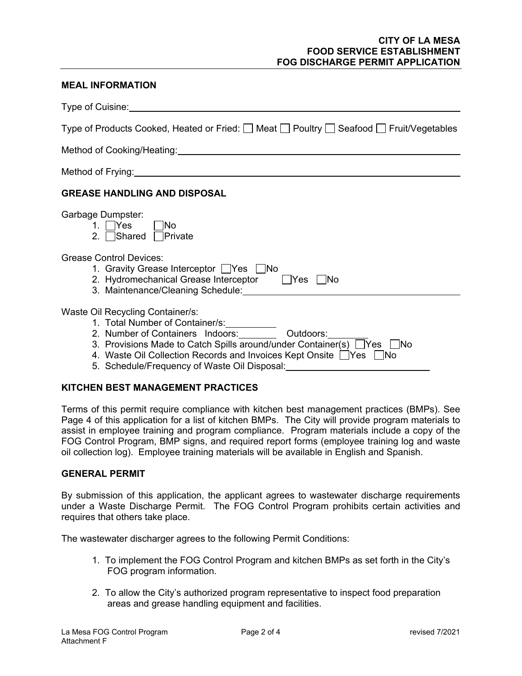## **CITY OF LA MESA FOOD SERVICE ESTABLISHMENT FOG DISCHARGE PERMIT APPLICATION**

#### **MEAL INFORMATION**

| Type of Cuisine:                                                                                                                                                                                                                                                                                      |  |  |
|-------------------------------------------------------------------------------------------------------------------------------------------------------------------------------------------------------------------------------------------------------------------------------------------------------|--|--|
| Type of Products Cooked, Heated or Fried: $\Box$ Meat $\Box$ Poultry $\Box$ Seafood $\Box$ Fruit/Vegetables                                                                                                                                                                                           |  |  |
| Method of Cooking/Heating: Manual Manual Method of Cooking/Heating: Manual Manual Method of Cooking                                                                                                                                                                                                   |  |  |
| Method of Frying: Nethod of Frying:                                                                                                                                                                                                                                                                   |  |  |
| <b>GREASE HANDLING AND DISPOSAL</b>                                                                                                                                                                                                                                                                   |  |  |
| Garbage Dumpster:<br>1. $ $ Yes<br>INo<br>2. Shared Private                                                                                                                                                                                                                                           |  |  |
| Grease Control Devices:<br>1. Gravity Grease Interceptor Yes No<br>2. Hydromechanical Grease Interceptor PYes No<br>3. Maintenance/Cleaning Schedule:                                                                                                                                                 |  |  |
| Waste Oil Recycling Container/s:<br>2. Number of Containers Indoors: _________ Outdoors:<br>3. Provisions Made to Catch Spills around/under Container(s) Ves No<br>4. Waste Oil Collection Records and Invoices Kept Onsite TYes No<br>5. Schedule/Frequency of Waste Oil Disposal: _________________ |  |  |

#### **KITCHEN BEST MANAGEMENT PRACTICES**

Terms of this permit require compliance with kitchen best management practices (BMPs). See Page 4 of this application for a list of kitchen BMPs. The City will provide program materials to assist in employee training and program compliance. Program materials include a copy of the FOG Control Program, BMP signs, and required report forms (employee training log and waste oil collection log). Employee training materials will be available in English and Spanish.

## **GENERAL PERMIT**

By submission of this application, the applicant agrees to wastewater discharge requirements under a Waste Discharge Permit. The FOG Control Program prohibits certain activities and requires that others take place.

The wastewater discharger agrees to the following Permit Conditions:

- 1. To implement the FOG Control Program and kitchen BMPs as set forth in the City's FOG program information.
- 2. To allow the City's authorized program representative to inspect food preparation areas and grease handling equipment and facilities.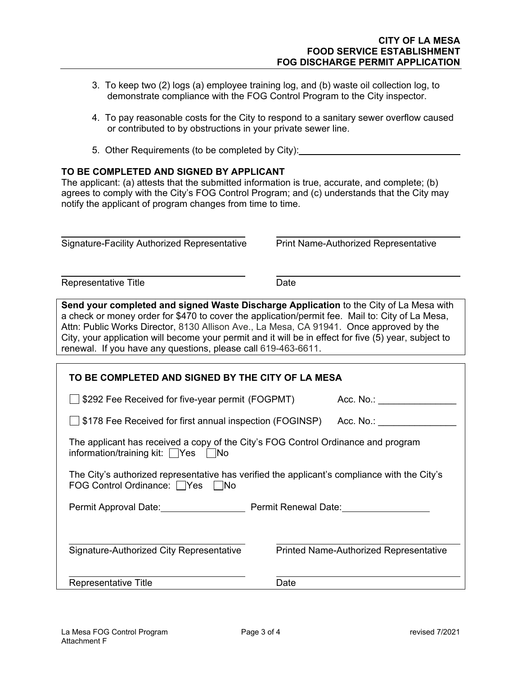- 3. To keep two (2) logs (a) employee training log, and (b) waste oil collection log, to demonstrate compliance with the FOG Control Program to the City inspector.
- 4. To pay reasonable costs for the City to respond to a sanitary sewer overflow caused or contributed to by obstructions in your private sewer line.
- 5. Other Requirements (to be completed by City):

## **TO BE COMPLETED AND SIGNED BY APPLICANT**

The applicant: (a) attests that the submitted information is true, accurate, and complete; (b) agrees to comply with the City's FOG Control Program; and (c) understands that the City may notify the applicant of program changes from time to time.

 $\overline{a}$ Signature-Facility Authorized Representative Print Name-Authorized Representative

Representative Title **Date** 

Send your completed and signed Waste Discharge Application to the City of La Mesa with a check or money order for \$470 to cover the application/permit fee. Mail to: City of La Mesa, Attn: Public Works Director, 8130 Allison Ave., La Mesa, CA 91941. Once approved by the City, your application will become your permit and it will be in effect for five (5) year, subject to renewal. If you have any questions, please call 619-463-6611.

| TO BE COMPLETED AND SIGNED BY THE CITY OF LA MESA                                                                                   |                                               |  |
|-------------------------------------------------------------------------------------------------------------------------------------|-----------------------------------------------|--|
| \$292 Fee Received for five-year permit (FOGPMT)                                                                                    | Acc. No.: ______                              |  |
| \$178 Fee Received for first annual inspection (FOGINSP)                                                                            | Acc. No.: ______________                      |  |
| The applicant has received a copy of the City's FOG Control Ordinance and program<br>information/training kit: $\Box$ Yes $\Box$ No |                                               |  |
| The City's authorized representative has verified the applicant's compliance with the City's<br>FOG Control Ordinance: Yes No       |                                               |  |
|                                                                                                                                     |                                               |  |
|                                                                                                                                     |                                               |  |
| Signature-Authorized City Representative                                                                                            | <b>Printed Name-Authorized Representative</b> |  |
| Representative Title                                                                                                                | Date                                          |  |